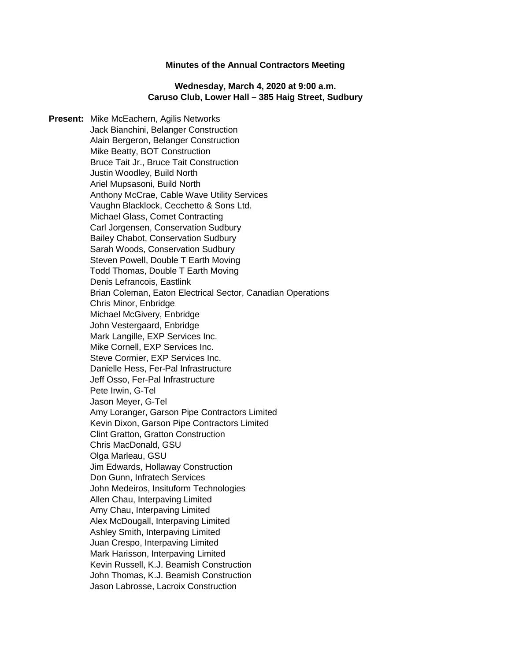#### **Minutes of the Annual Contractors Meeting**

### **Wednesday, March 4, 2020 at 9:00 a.m. Caruso Club, Lower Hall – 385 Haig Street, Sudbury**

**Present:** Mike McEachern, Agilis Networks Jack Bianchini, Belanger Construction Alain Bergeron, Belanger Construction Mike Beatty, BOT Construction Bruce Tait Jr., Bruce Tait Construction Justin Woodley, Build North Ariel Mupsasoni, Build North Anthony McCrae, Cable Wave Utility Services Vaughn Blacklock, Cecchetto & Sons Ltd. Michael Glass, Comet Contracting Carl Jorgensen, Conservation Sudbury Bailey Chabot, Conservation Sudbury Sarah Woods, Conservation Sudbury Steven Powell, Double T Earth Moving Todd Thomas, Double T Earth Moving Denis Lefrancois, Eastlink Brian Coleman, Eaton Electrical Sector, Canadian Operations Chris Minor, Enbridge Michael McGivery, Enbridge John Vestergaard, Enbridge Mark Langille, EXP Services Inc. Mike Cornell, EXP Services Inc. Steve Cormier, EXP Services Inc. Danielle Hess, Fer-Pal Infrastructure Jeff Osso, Fer-Pal Infrastructure Pete Irwin, G-Tel Jason Meyer, G-Tel Amy Loranger, Garson Pipe Contractors Limited Kevin Dixon, Garson Pipe Contractors Limited Clint Gratton, Gratton Construction Chris MacDonald, GSU Olga Marleau, GSU Jim Edwards, Hollaway Construction Don Gunn, Infratech Services John Medeiros, Insituform Technologies Allen Chau, Interpaving Limited Amy Chau, Interpaving Limited Alex McDougall, Interpaving Limited Ashley Smith, Interpaving Limited Juan Crespo, Interpaving Limited Mark Harisson, Interpaving Limited Kevin Russell, K.J. Beamish Construction John Thomas, K.J. Beamish Construction Jason Labrosse, Lacroix Construction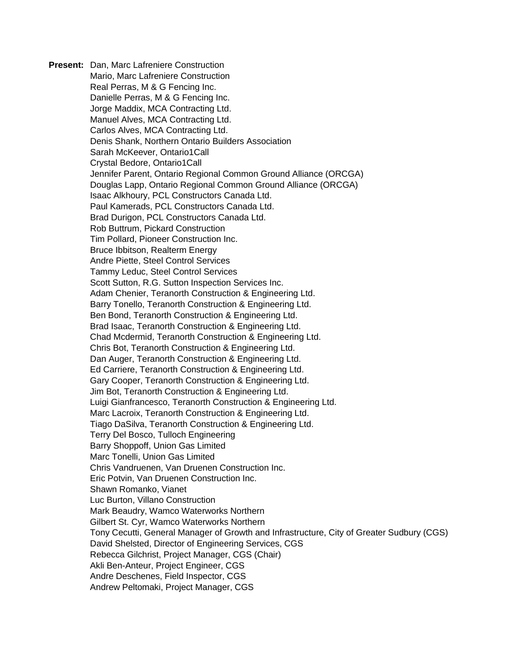**Present:** Dan, Marc Lafreniere Construction Mario, Marc Lafreniere Construction Real Perras, M & G Fencing Inc. Danielle Perras, M & G Fencing Inc. Jorge Maddix, MCA Contracting Ltd. Manuel Alves, MCA Contracting Ltd. Carlos Alves, MCA Contracting Ltd. Denis Shank, Northern Ontario Builders Association Sarah McKeever, Ontario1Call Crystal Bedore, Ontario1Call Jennifer Parent, Ontario Regional Common Ground Alliance (ORCGA) Douglas Lapp, Ontario Regional Common Ground Alliance (ORCGA) Isaac Alkhoury, PCL Constructors Canada Ltd. Paul Kamerads, PCL Constructors Canada Ltd. Brad Durigon, PCL Constructors Canada Ltd. Rob Buttrum, Pickard Construction Tim Pollard, Pioneer Construction Inc. Bruce Ibbitson, Realterm Energy Andre Piette, Steel Control Services Tammy Leduc, Steel Control Services Scott Sutton, R.G. Sutton Inspection Services Inc. Adam Chenier, Teranorth Construction & Engineering Ltd. Barry Tonello, Teranorth Construction & Engineering Ltd. Ben Bond, Teranorth Construction & Engineering Ltd. Brad Isaac, Teranorth Construction & Engineering Ltd. Chad Mcdermid, Teranorth Construction & Engineering Ltd. Chris Bot, Teranorth Construction & Engineering Ltd. Dan Auger, Teranorth Construction & Engineering Ltd. Ed Carriere, Teranorth Construction & Engineering Ltd. Gary Cooper, Teranorth Construction & Engineering Ltd. Jim Bot, Teranorth Construction & Engineering Ltd. Luigi Gianfrancesco, Teranorth Construction & Engineering Ltd. Marc Lacroix, Teranorth Construction & Engineering Ltd. Tiago DaSilva, Teranorth Construction & Engineering Ltd. Terry Del Bosco, Tulloch Engineering Barry Shoppoff, Union Gas Limited Marc Tonelli, Union Gas Limited Chris Vandruenen, Van Druenen Construction Inc. Eric Potvin, Van Druenen Construction Inc. Shawn Romanko, Vianet Luc Burton, Villano Construction Mark Beaudry, Wamco Waterworks Northern Gilbert St. Cyr, Wamco Waterworks Northern Tony Cecutti, General Manager of Growth and Infrastructure, City of Greater Sudbury (CGS) David Shelsted, Director of Engineering Services, CGS Rebecca Gilchrist, Project Manager, CGS (Chair) Akli Ben-Anteur, Project Engineer, CGS Andre Deschenes, Field Inspector, CGS Andrew Peltomaki, Project Manager, CGS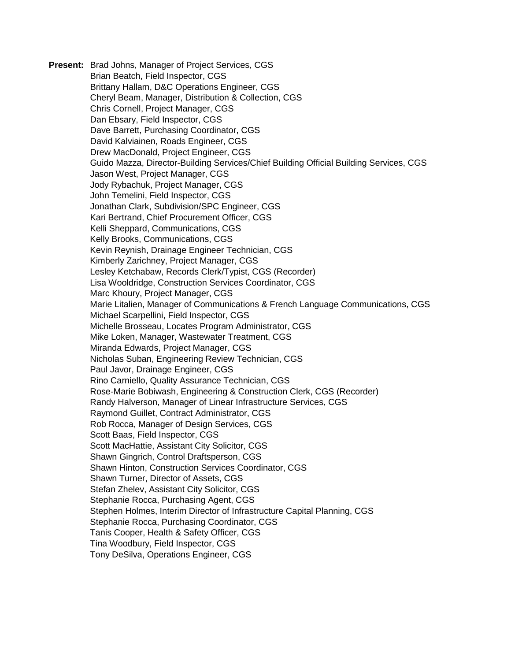**Present:** Brad Johns, Manager of Project Services, CGS Brian Beatch, Field Inspector, CGS Brittany Hallam, D&C Operations Engineer, CGS Cheryl Beam, Manager, Distribution & Collection, CGS Chris Cornell, Project Manager, CGS Dan Ebsary, Field Inspector, CGS Dave Barrett, Purchasing Coordinator, CGS David Kalviainen, Roads Engineer, CGS Drew MacDonald, Project Engineer, CGS Guido Mazza, Director-Building Services/Chief Building Official Building Services, CGS Jason West, Project Manager, CGS Jody Rybachuk, Project Manager, CGS John Temelini, Field Inspector, CGS Jonathan Clark, Subdivision/SPC Engineer, CGS Kari Bertrand, Chief Procurement Officer, CGS Kelli Sheppard, Communications, CGS Kelly Brooks, Communications, CGS Kevin Reynish, Drainage Engineer Technician, CGS Kimberly Zarichney, Project Manager, CGS Lesley Ketchabaw, Records Clerk/Typist, CGS (Recorder) Lisa Wooldridge, Construction Services Coordinator, CGS Marc Khoury, Project Manager, CGS Marie Litalien, Manager of Communications & French Language Communications, CGS Michael Scarpellini, Field Inspector, CGS Michelle Brosseau, Locates Program Administrator, CGS Mike Loken, Manager, Wastewater Treatment, CGS Miranda Edwards, Project Manager, CGS Nicholas Suban, Engineering Review Technician, CGS Paul Javor, Drainage Engineer, CGS Rino Carniello, Quality Assurance Technician, CGS Rose-Marie Bobiwash, Engineering & Construction Clerk, CGS (Recorder) Randy Halverson, Manager of Linear Infrastructure Services, CGS Raymond Guillet, Contract Administrator, CGS Rob Rocca, Manager of Design Services, CGS Scott Baas, Field Inspector, CGS Scott MacHattie, Assistant City Solicitor, CGS Shawn Gingrich, Control Draftsperson, CGS Shawn Hinton, Construction Services Coordinator, CGS Shawn Turner, Director of Assets, CGS Stefan Zhelev, Assistant City Solicitor, CGS Stephanie Rocca, Purchasing Agent, CGS Stephen Holmes, Interim Director of Infrastructure Capital Planning, CGS Stephanie Rocca, Purchasing Coordinator, CGS Tanis Cooper, Health & Safety Officer, CGS Tina Woodbury, Field Inspector, CGS Tony DeSilva, Operations Engineer, CGS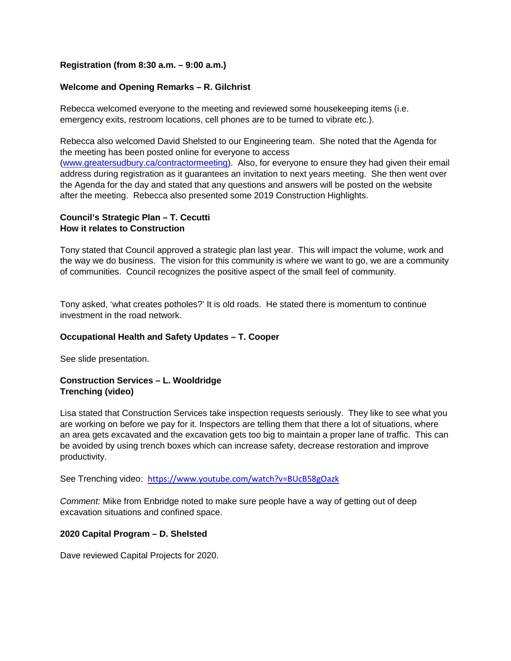## **Registration (from 8:30 a.m. – 9:00 a.m.)**

# **Welcome and Opening Remarks – R. Gilchrist**

Rebecca welcomed everyone to the meeting and reviewed some housekeeping items (i.e. emergency exits, restroom locations, cell phones are to be turned to vibrate etc.).

Rebecca also welcomed David Shelsted to our Engineering team. She noted that the Agenda for the meeting has been posted online for everyone to access [\(www.greatersudbury.ca/contractormeeting\)](http://www.greatersudbury.ca/contractormeeting). Also, for everyone to ensure they had given their email address during registration as it guarantees an invitation to next years meeting. She then went over the Agenda for the day and stated that any questions and answers will be posted on the website after the meeting. Rebecca also presented some 2019 Construction Highlights.

# **Council's Strategic Plan – T. Cecutti How it relates to Construction**

Tony stated that Council approved a strategic plan last year. This will impact the volume, work and the way we do business. The vision for this community is where we want to go, we are a community of communities. Council recognizes the positive aspect of the small feel of community.

Tony asked, 'what creates potholes?' It is old roads. He stated there is momentum to continue investment in the road network.

### **Occupational Health and Safety Updates – T. Cooper**

See slide presentation.

# **Construction Services – L. Wooldridge Trenching (video)**

Lisa stated that Construction Services take inspection requests seriously. They like to see what you are working on before we pay for it. Inspectors are telling them that there a lot of situations, where an area gets excavated and the excavation gets too big to maintain a proper lane of traffic. This can be avoided by using trench boxes which can increase safety, decrease restoration and improve productivity.

See Trenching video: <https://www.youtube.com/watch?v=BUcB58gOazk>

*Comment:* Mike from Enbridge noted to make sure people have a way of getting out of deep excavation situations and confined space.

### **2020 Capital Program – D. Shelsted**

Dave reviewed Capital Projects for 2020.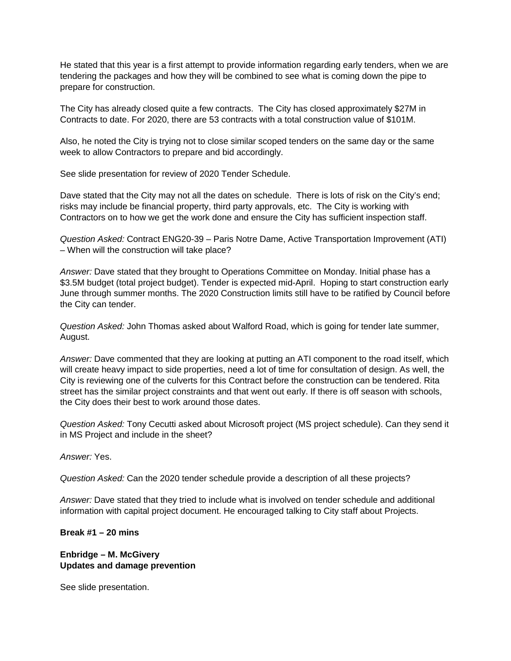He stated that this year is a first attempt to provide information regarding early tenders, when we are tendering the packages and how they will be combined to see what is coming down the pipe to prepare for construction.

The City has already closed quite a few contracts. The City has closed approximately \$27M in Contracts to date. For 2020, there are 53 contracts with a total construction value of \$101M.

Also, he noted the City is trying not to close similar scoped tenders on the same day or the same week to allow Contractors to prepare and bid accordingly.

See slide presentation for review of 2020 Tender Schedule.

Dave stated that the City may not all the dates on schedule. There is lots of risk on the City's end; risks may include be financial property, third party approvals, etc. The City is working with Contractors on to how we get the work done and ensure the City has sufficient inspection staff.

*Question Asked:* Contract ENG20-39 – Paris Notre Dame, Active Transportation Improvement (ATI) – When will the construction will take place?

*Answer:* Dave stated that they brought to Operations Committee on Monday. Initial phase has a \$3.5M budget (total project budget). Tender is expected mid-April. Hoping to start construction early June through summer months. The 2020 Construction limits still have to be ratified by Council before the City can tender.

*Question Asked:* John Thomas asked about Walford Road, which is going for tender late summer, August.

*Answer:* Dave commented that they are looking at putting an ATI component to the road itself, which will create heavy impact to side properties, need a lot of time for consultation of design. As well, the City is reviewing one of the culverts for this Contract before the construction can be tendered. Rita street has the similar project constraints and that went out early. If there is off season with schools, the City does their best to work around those dates.

*Question Asked:* Tony Cecutti asked about Microsoft project (MS project schedule). Can they send it in MS Project and include in the sheet?

*Answer:* Yes.

*Question Asked:* Can the 2020 tender schedule provide a description of all these projects?

*Answer:* Dave stated that they tried to include what is involved on tender schedule and additional information with capital project document. He encouraged talking to City staff about Projects.

**Break #1 – 20 mins**

**Enbridge – M. McGivery Updates and damage prevention**

See slide presentation.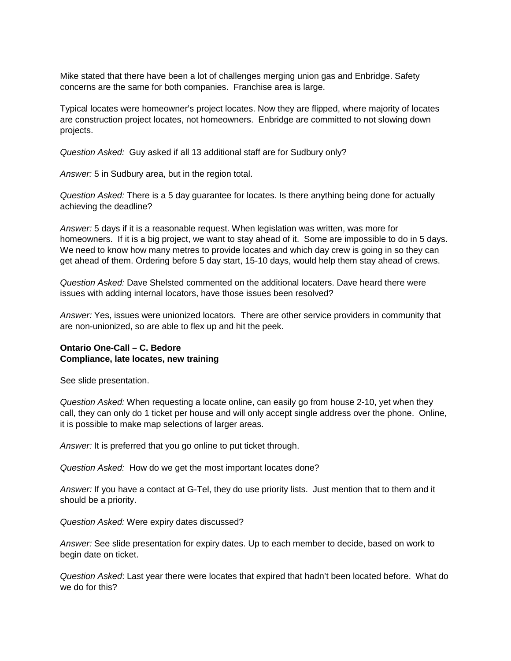Mike stated that there have been a lot of challenges merging union gas and Enbridge. Safety concerns are the same for both companies. Franchise area is large.

Typical locates were homeowner's project locates. Now they are flipped, where majority of locates are construction project locates, not homeowners. Enbridge are committed to not slowing down projects.

*Question Asked:* Guy asked if all 13 additional staff are for Sudbury only?

*Answer:* 5 in Sudbury area, but in the region total.

*Question Asked:* There is a 5 day guarantee for locates. Is there anything being done for actually achieving the deadline?

*Answer:* 5 days if it is a reasonable request. When legislation was written, was more for homeowners. If it is a big project, we want to stay ahead of it. Some are impossible to do in 5 days. We need to know how many metres to provide locates and which day crew is going in so they can get ahead of them. Ordering before 5 day start, 15-10 days, would help them stay ahead of crews.

*Question Asked:* Dave Shelsted commented on the additional locaters. Dave heard there were issues with adding internal locators, have those issues been resolved?

*Answer:* Yes, issues were unionized locators. There are other service providers in community that are non-unionized, so are able to flex up and hit the peek.

#### **Ontario One-Call – C. Bedore Compliance, late locates, new training**

See slide presentation.

*Question Asked:* When requesting a locate online, can easily go from house 2-10, yet when they call, they can only do 1 ticket per house and will only accept single address over the phone. Online, it is possible to make map selections of larger areas.

*Answer:* It is preferred that you go online to put ticket through.

*Question Asked:* How do we get the most important locates done?

*Answer:* If you have a contact at G-Tel, they do use priority lists. Just mention that to them and it should be a priority.

*Question Asked:* Were expiry dates discussed?

*Answer:* See slide presentation for expiry dates. Up to each member to decide, based on work to begin date on ticket.

*Question Asked*: Last year there were locates that expired that hadn't been located before. What do we do for this?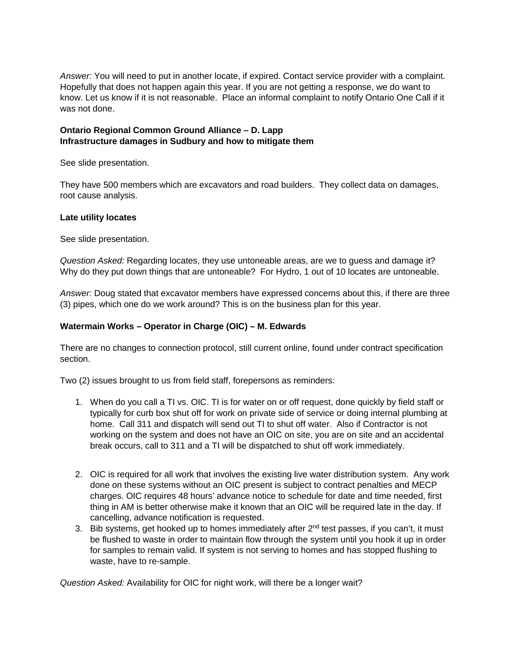*Answer:* You will need to put in another locate, if expired. Contact service provider with a complaint. Hopefully that does not happen again this year. If you are not getting a response, we do want to know. Let us know if it is not reasonable. Place an informal complaint to notify Ontario One Call if it was not done.

# **Ontario Regional Common Ground Alliance – D. Lapp Infrastructure damages in Sudbury and how to mitigate them**

See slide presentation.

They have 500 members which are excavators and road builders. They collect data on damages, root cause analysis.

### **Late utility locates**

See slide presentation.

*Question Asked:* Regarding locates, they use untoneable areas, are we to guess and damage it? Why do they put down things that are untoneable? For Hydro, 1 out of 10 locates are untoneable.

*Answer:* Doug stated that excavator members have expressed concerns about this, if there are three (3) pipes, which one do we work around? This is on the business plan for this year.

# **Watermain Works – Operator in Charge (OIC) – M. Edwards**

There are no changes to connection protocol, still current online, found under contract specification section.

Two (2) issues brought to us from field staff, forepersons as reminders:

- 1. When do you call a TI vs. OIC. TI is for water on or off request, done quickly by field staff or typically for curb box shut off for work on private side of service or doing internal plumbing at home. Call 311 and dispatch will send out TI to shut off water. Also if Contractor is not working on the system and does not have an OIC on site, you are on site and an accidental break occurs, call to 311 and a TI will be dispatched to shut off work immediately.
- 2. OIC is required for all work that involves the existing live water distribution system. Any work done on these systems without an OIC present is subject to contract penalties and MECP charges. OIC requires 48 hours' advance notice to schedule for date and time needed, first thing in AM is better otherwise make it known that an OIC will be required late in the day. If cancelling, advance notification is requested.
- 3. Bib systems, get hooked up to homes immediately after  $2^{nd}$  test passes, if you can't, it must be flushed to waste in order to maintain flow through the system until you hook it up in order for samples to remain valid. If system is not serving to homes and has stopped flushing to waste, have to re-sample.

*Question Asked:* Availability for OIC for night work, will there be a longer wait?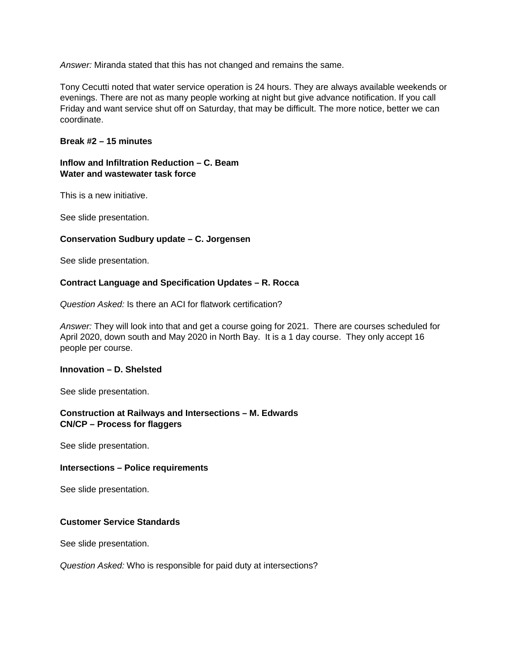*Answer:* Miranda stated that this has not changed and remains the same.

Tony Cecutti noted that water service operation is 24 hours. They are always available weekends or evenings. There are not as many people working at night but give advance notification. If you call Friday and want service shut off on Saturday, that may be difficult. The more notice, better we can coordinate.

#### **Break #2 – 15 minutes**

# **Inflow and Infiltration Reduction – C. Beam Water and wastewater task force**

This is a new initiative.

See slide presentation.

### **Conservation Sudbury update – C. Jorgensen**

See slide presentation.

### **Contract Language and Specification Updates – R. Rocca**

*Question Asked:* Is there an ACI for flatwork certification?

*Answer:* They will look into that and get a course going for 2021. There are courses scheduled for April 2020, down south and May 2020 in North Bay. It is a 1 day course. They only accept 16 people per course.

#### **Innovation – D. Shelsted**

See slide presentation.

## **Construction at Railways and Intersections – M. Edwards CN/CP – Process for flaggers**

See slide presentation.

#### **Intersections – Police requirements**

See slide presentation.

### **Customer Service Standards**

See slide presentation.

*Question Asked:* Who is responsible for paid duty at intersections?